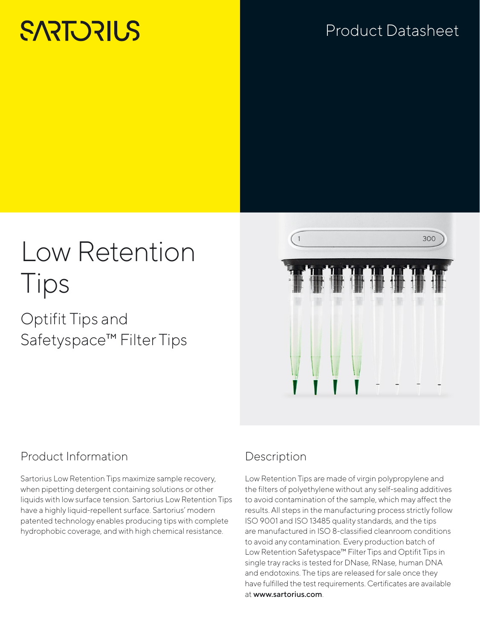# **SARTORILS**

## Product Datasheet

# Low Retention Tips

## Optifit Tips and Safetyspace™ Filter Tips



## Product Information

Sartorius Low Retention Tips maximize sample recovery, when pipetting detergent containing solutions or other liquids with low surface tension. Sartorius Low Retention Tips have a highly liquid-repellent surface. Sartorius' modern patented technology enables producing tips with complete hydrophobic coverage, and with high chemical resistance.

## Description

Low Retention Tips are made of virgin polypropylene and the filters of polyethylene without any self-sealing additives to avoid contamination of the sample, which may affect the results. All steps in the manufacturing process strictly follow ISO 9001 and ISO 13485 quality standards, and the tips are manufactured in ISO 8-classified cleanroom conditions to avoid any contamination. Every production batch of Low Retention Safetyspace™ Filter Tips and Optifit Tips in single tray racks is tested for DNase, RNase, human DNA and endotoxins. The tips are released for sale once they have fulfilled the test requirements. Certificates are available at www.sartorius.com.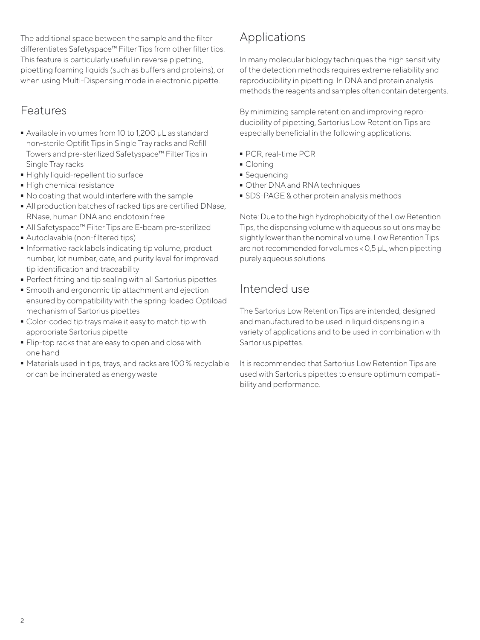The additional space between the sample and the filter differentiates Safetyspace™ Filter Tips from other filter tips. This feature is particularly useful in reverse pipetting, pipetting foaming liquids (such as buffers and proteins), or when using Multi-Dispensing mode in electronic pipette.

### Features

- Available in volumes from 10 to 1,200 μL as standard non-sterile Optifit Tips in Single Tray racks and Refill Towers and pre-sterilized Safetyspace™ Filter Tips in Single Tray racks
- Highly liquid-repellent tip surface<br>• High chemical resistance
- 
- No coating that would interfere with the sample
- No coating that would interfere with the sample<br>■ All production batches of racked tips are certifie - All production batches of racked tips are certified DNase, RNase, human DNA and endotoxin free
- All Safetyspace™ Filter Tips are E-beam pre-sterilized<br>■ Autoclavable (non-filtered tips)
- 
- Informative rack labels indicating tip volume, product - Informative rack labels indicating tip volume, product number, lot number, date, and purity level for improved tip identification and traceability
- 
- Perfect fitting and tip sealing with all Sartorius pipettes - Smooth and ergonomic tip attachment and ejection ensured by compatibility with the spring-loaded Optiload mechanism of Sartorius pipettes
- Color-coded tip trays make it easy to match tip with appropriate Sartorius pipette
- Flip-top racks that are easy to open and close with one hand
- Materials used in tips, trays, and racks are 100% recyclable or can be incinerated as energy waste

## Applications

In many molecular biology techniques the high sensitivity of the detection methods requires extreme reliability and reproducibility in pipetting. In DNA and protein analysis methods the reagents and samples often contain detergents.

By minimizing sample retention and improving reproducibility of pipetting, Sartorius Low Retention Tips are especially beneficial in the following applications:

- PCR, real-time PCR<br>• Cloning
- 
- Sequencing
- Other DNA and RNA techniques
- Other DNA and RNA techniques<br>■ SDS-PAGE & other protein analy - SDS-PAGE & other protein analysis methods

Note: Due to the high hydrophobicity of the Low Retention Tips, the dispensing volume with aqueous solutions may be slightly lower than the nominal volume. Low Retention Tips are not recommended for volumes <0,5 μL, when pipetting purely aqueous solutions.

## Intended use

The Sartorius Low Retention Tips are intended, designed and manufactured to be used in liquid dispensing in a variety of applications and to be used in combination with Sartorius pipettes.

It is recommended that Sartorius Low Retention Tips are used with Sartorius pipettes to ensure optimum compatibility and performance.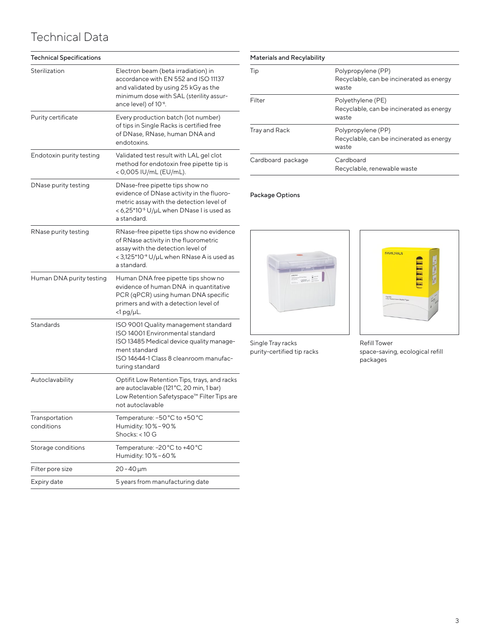## Technical Data

| <b>Technical Specifications</b> |                                                                                                                                                                                                           |
|---------------------------------|-----------------------------------------------------------------------------------------------------------------------------------------------------------------------------------------------------------|
| Sterilization                   | Electron beam (beta irradiation) in<br>accordance with EN 552 and ISO 11137<br>and validated by using 25 kGy as the<br>minimum dose with SAL (sterility assur-<br>ance level) of 10 <sup>-6</sup> .       |
| Purity certificate              | Every production batch (lot number)<br>of tips in Single Racks is certified free<br>of DNase, RNase, human DNA and<br>endotoxins.                                                                         |
| Endotoxin purity testing        | Validated test result with LAL gel clot<br>method for endotoxin free pipette tip is<br>< 0,005 IU/mL (EU/mL).                                                                                             |
| DNase purity testing            | DNase-free pipette tips show no<br>evidence of DNase activity in the fluoro-<br>metric assay with the detection level of<br>< 6,25*10 <sup>-5</sup> U/µL when DNase I is used as<br>a standard.           |
| RNase purity testing            | RNase-free pipette tips show no evidence<br>of RNase activity in the fluorometric<br>assay with the detection level of<br>< 3,125*10 <sup>-9</sup> U/µL when RNase A is used as<br>a standard             |
| Human DNA purity testing        | Human DNA free pipette tips show no<br>evidence of human DNA in quantitative<br>PCR (qPCR) using human DNA specific<br>primers and with a detection level of<br>$<$ 1 pg/µL.                              |
| Standards                       | ISO 9001 Quality management standard<br><b>ISO 14001 Environmental standard</b><br>ISO 13485 Medical device quality manage-<br>ment standard<br>ISO 14644-1 Class 8 cleanroom manufac-<br>turing standard |
| Autoclavability                 | Optifit Low Retention Tips, trays, and racks<br>are autoclavable (121°C, 20 min, 1 bar)<br>Low Retention Safetyspace™ Filter Tips are<br>not autoclavable                                                 |
| Transportation<br>conditions    | Temperature: -50 °C to +50 °C<br>Humidity: 10% - 90%<br>Shocks: <10 G                                                                                                                                     |
| Storage conditions              | Temperature: -20 °C to +40 °C<br>Humidity: 10% - 60%                                                                                                                                                      |
| Filter pore size                | 20-40 µm                                                                                                                                                                                                  |
| Expiry date                     | 5 years from manufacturing date                                                                                                                                                                           |

| <b>Materials and Recylability</b> |                                                                         |
|-----------------------------------|-------------------------------------------------------------------------|
| Tip                               | Polypropylene (PP)<br>Recyclable, can be incinerated as energy<br>waste |
| Filter                            | Polyethylene (PE)<br>Recyclable, can be incinerated as energy<br>waste  |
| Tray and Rack                     | Polypropylene (PP)<br>Recyclable, can be incinerated as energy<br>waste |
| Cardboard package                 | Cardboard<br>Recyclable, renewable waste                                |

#### Package Options





Single Tray racks purity-certified tip racks Refill Tower space-saving, ecological refill packages